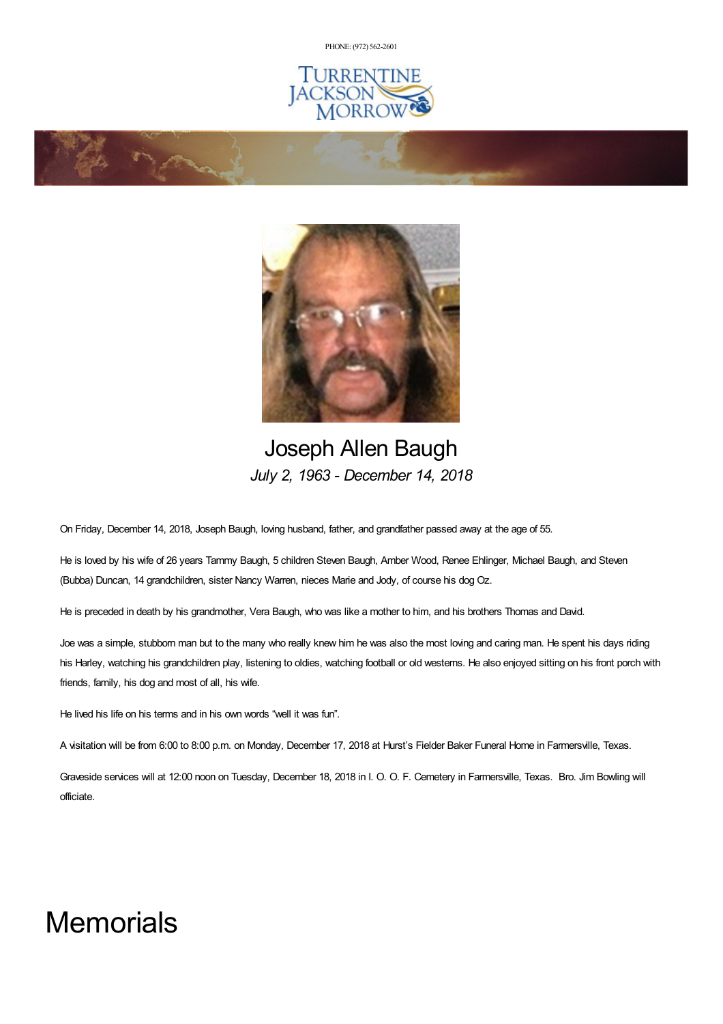PHONE: (972) [562-2601](tel:(972) 562-2601)





## Joseph Allen Baugh *July 2, 1963 - December 14, 2018*

On Friday, December 14, 2018, Joseph Baugh, loving husband, father, and grandfather passed away at the age of 55.

He is loved by his wife of 26 years Tammy Baugh, 5 children Steven Baugh, Amber Wood, Renee Ehlinger, Michael Baugh, and Steven (Bubba) Duncan, 14 grandchildren, sister Nancy Warren, nieces Marie and Jody, of course his dog Oz.

He is preceded in death by his grandmother, Vera Baugh, who was like a mother to him, and his brothers Thomas and David.

Joe was a simple, stubborn man but to the many who really knew him he was also the most loving and caring man. He spent his days riding his Harley, watching his grandchildren play, listening to oldies, watching football or old westerns. He also enjoyed sitting on his front porch with friends, family, his dog and most of all, his wife.

He lived his life on his terms and in his own words "well it was fun".

**Command** 

A visitation will be from 6:00 to 8:00 p.m. on Monday, December 17, 2018 at Hurst's Fielder Baker Funeral Home in Farmersville, Texas.

Graveside services will at 12:00 noon on Tuesday, December 18, 2018 in I. O. O. F. Cemetery in Farmersville, Texas. Bro. Jim Bowling will officiate.

## **Memorials**